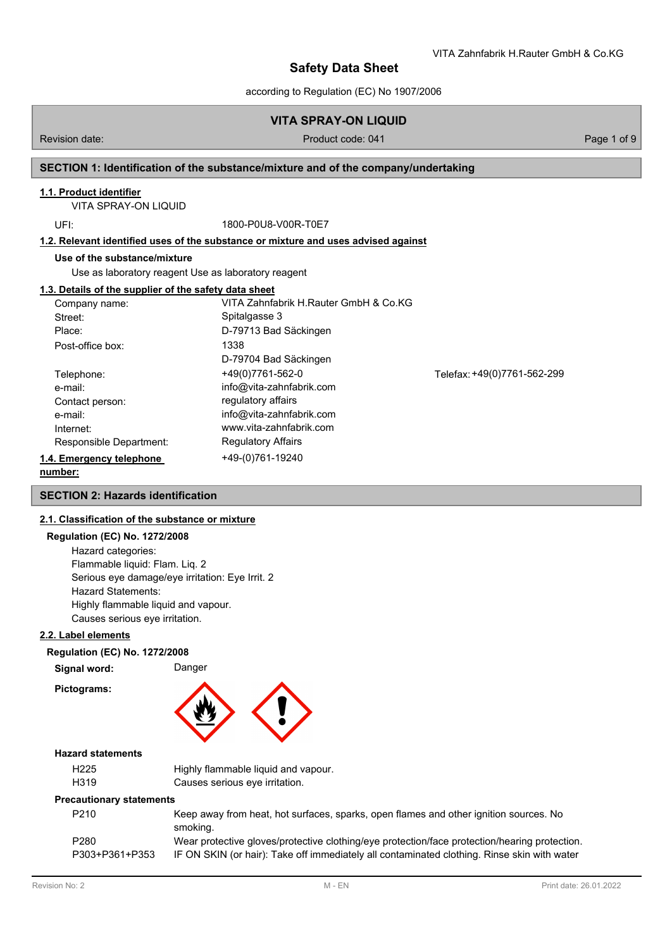## **VITA SPRAY-ON LIQUID**

## Revision date: Product code: 041 Page 1 of 9 Page 1 of 9

VITA Zahnfabrik H.Rauter GmbH & Co.KG

## **SECTION 1: Identification of the substance/mixture and of the company/undertaking**

### **1.1. Product identifier**

VITA SPRAY-ON LIQUID

UFI: 1800-P0U8-V00R-T0E7

### **1.2. Relevant identified uses of the substance or mixture and uses advised against**

#### **Use of the substance/mixture**

Use as laboratory reagent Use as laboratory reagent

#### **1.3. Details of the supplier of the safety data sheet**

| Company name:            | VITA Zahnfabrik H.Rauter GmbH & Co.KG |                             |
|--------------------------|---------------------------------------|-----------------------------|
| Street:                  | Spitalgasse 3                         |                             |
| Place:                   | D-79713 Bad Säckingen                 |                             |
| Post-office box:         | 1338                                  |                             |
|                          | D-79704 Bad Säckingen                 |                             |
| Telephone:               | +49(0)7761-562-0                      | Telefax: +49(0)7761-562-299 |
| e-mail:                  | info@vita-zahnfabrik.com              |                             |
| Contact person:          | regulatory affairs                    |                             |
| e-mail:                  | info@vita-zahnfabrik.com              |                             |
| Internet:                | www.vita-zahnfabrik.com               |                             |
| Responsible Department:  | <b>Regulatory Affairs</b>             |                             |
| 1.4. Emergency telephone | +49-(0)761-19240                      |                             |
|                          |                                       |                             |

#### **number:**

## **SECTION 2: Hazards identification**

### **2.1. Classification of the substance or mixture**

## **Regulation (EC) No. 1272/2008** Hazard categories:

Flammable liquid: Flam. Liq. 2 Serious eye damage/eye irritation: Eye Irrit. 2 Hazard Statements: Highly flammable liquid and vapour. Causes serious eye irritation.

### **2.2. Label elements**

#### **Regulation (EC) No. 1272/2008**

| Signal word: | Danger |
|--------------|--------|
|--------------|--------|

**Pictograms:**



## **Hazard statements**

| H <sub>225</sub> | Highly flammable liquid and vapour. |
|------------------|-------------------------------------|
| H319             | Causes serious eye irritation.      |

#### **Precautionary statements**

| P <sub>210</sub> | Keep away from heat, hot surfaces, sparks, open flames and other ignition sources. No         |
|------------------|-----------------------------------------------------------------------------------------------|
|                  | smoking.                                                                                      |
| P <sub>280</sub> | Wear protective gloves/protective clothing/eye protection/face protection/hearing protection. |
| P303+P361+P353   | IF ON SKIN (or hair): Take off immediately all contaminated clothing. Rinse skin with water   |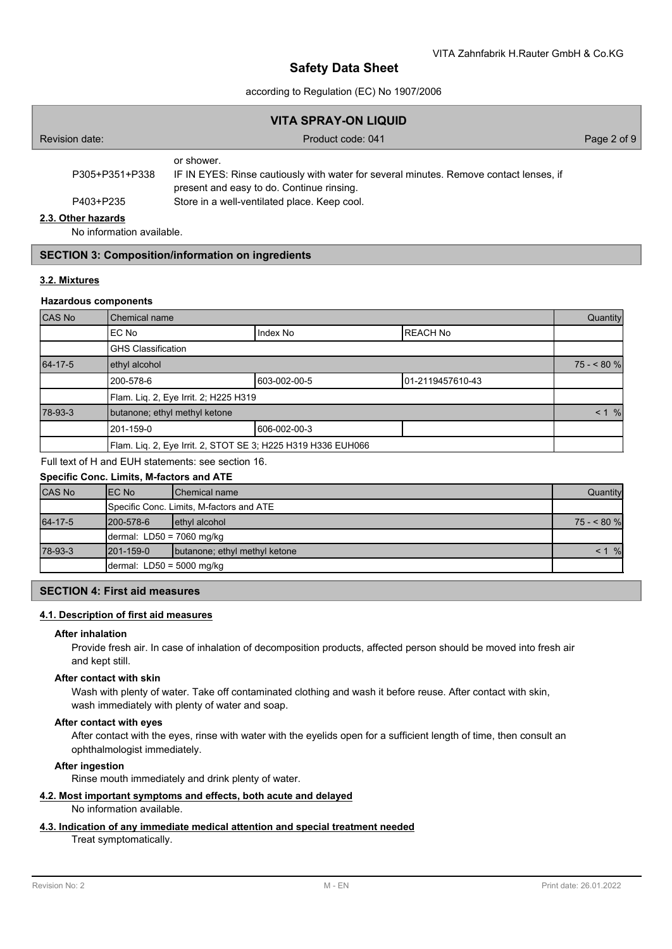## according to Regulation (EC) No 1907/2006

| <b>VITA SPRAY-ON LIQUID</b> |                                                                                                                                                   |             |  |  |
|-----------------------------|---------------------------------------------------------------------------------------------------------------------------------------------------|-------------|--|--|
| Revision date:              | Product code: 041                                                                                                                                 | Page 2 of 9 |  |  |
| P305+P351+P338              | or shower.<br>IF IN EYES: Rinse cautiously with water for several minutes. Remove contact lenses, if<br>present and easy to do. Continue rinsing. |             |  |  |
| P403+P235                   | Store in a well-ventilated place. Keep cool.                                                                                                      |             |  |  |
| 2.3. Other hazards          |                                                                                                                                                   |             |  |  |

No information available.

# **SECTION 3: Composition/information on ingredients**

## **3.2. Mixtures**

## **Hazardous components**

| CAS No  | <b>Chemical name</b>                                         |              |                  | Quantity |
|---------|--------------------------------------------------------------|--------------|------------------|----------|
|         | Index No<br>EC No                                            |              | <b>REACH No</b>  |          |
|         | <b>GHS Classification</b>                                    |              |                  |          |
| 64-17-5 | ethyl alcohol                                                |              | $75 - 80%$       |          |
|         | 200-578-6                                                    | 603-002-00-5 | 01-2119457610-43 |          |
|         | Flam. Lig. 2, Eye Irrit. 2; H225 H319                        |              |                  |          |
| 78-93-3 | butanone; ethyl methyl ketone                                |              | $< 1$ %          |          |
|         | 201-159-0                                                    | 606-002-00-3 |                  |          |
|         | Flam. Liq. 2, Eye Irrit. 2, STOT SE 3; H225 H319 H336 EUH066 |              |                  |          |

Full text of H and EUH statements: see section 16.

## **Specific Conc. Limits, M-factors and ATE**

| <b>CAS No</b> | IEC No                      | <b>IChemical name</b>                    | Quantity    |
|---------------|-----------------------------|------------------------------------------|-------------|
|               |                             | Specific Conc. Limits, M-factors and ATE |             |
| 64-17-5       | 1200-578-6                  | ethyl alcohol                            | $75 - 80$ % |
|               | dermal: $LD50 = 7060$ mg/kg |                                          |             |
| 78-93-3       | $1201 - 159 - 0$            | butanone; ethyl methyl ketone            | %           |
|               | dermal: $LD50 = 5000$ mg/kg |                                          |             |

## **SECTION 4: First aid measures**

## **4.1. Description of first aid measures**

#### **After inhalation**

Provide fresh air. In case of inhalation of decomposition products, affected person should be moved into fresh air and kept still.

#### **After contact with skin**

Wash with plenty of water. Take off contaminated clothing and wash it before reuse. After contact with skin, wash immediately with plenty of water and soap.

#### **After contact with eyes**

After contact with the eyes, rinse with water with the eyelids open for a sufficient length of time, then consult an ophthalmologist immediately.

## **After ingestion**

Rinse mouth immediately and drink plenty of water.

## **4.2. Most important symptoms and effects, both acute and delayed**

No information available.

### **4.3. Indication of any immediate medical attention and special treatment needed**

Treat symptomatically.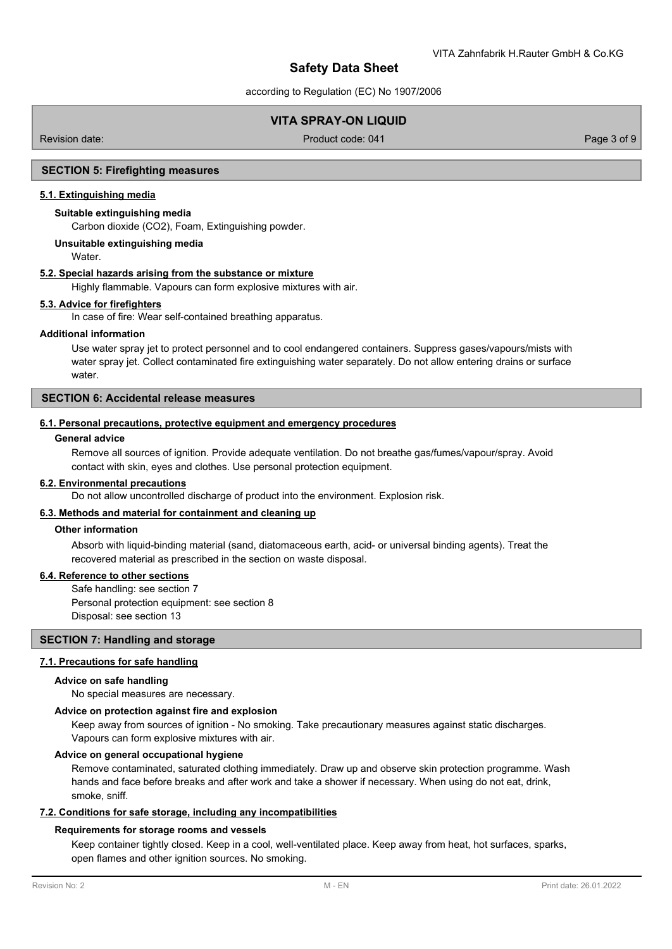according to Regulation (EC) No 1907/2006

# **VITA SPRAY-ON LIQUID**

Revision date: Product code: 041 Page 3 of 9

### **SECTION 5: Firefighting measures**

## **5.1. Extinguishing media**

# **Suitable extinguishing media**

Carbon dioxide (CO2), Foam, Extinguishing powder.

### **Unsuitable extinguishing media**

Water.

## **5.2. Special hazards arising from the substance or mixture**

Highly flammable. Vapours can form explosive mixtures with air.

## **5.3. Advice for firefighters**

In case of fire: Wear self-contained breathing apparatus.

### **Additional information**

Use water spray jet to protect personnel and to cool endangered containers. Suppress gases/vapours/mists with water spray jet. Collect contaminated fire extinguishing water separately. Do not allow entering drains or surface water

## **SECTION 6: Accidental release measures**

#### **6.1. Personal precautions, protective equipment and emergency procedures**

## **General advice**

Remove all sources of ignition. Provide adequate ventilation. Do not breathe gas/fumes/vapour/spray. Avoid contact with skin, eyes and clothes. Use personal protection equipment.

#### **6.2. Environmental precautions**

Do not allow uncontrolled discharge of product into the environment. Explosion risk.

#### **6.3. Methods and material for containment and cleaning up**

### **Other information**

Absorb with liquid-binding material (sand, diatomaceous earth, acid- or universal binding agents). Treat the recovered material as prescribed in the section on waste disposal.

#### **6.4. Reference to other sections**

Safe handling: see section 7 Personal protection equipment: see section 8 Disposal: see section 13

## **SECTION 7: Handling and storage**

#### **7.1. Precautions for safe handling**

#### **Advice on safe handling**

No special measures are necessary.

### **Advice on protection against fire and explosion**

Keep away from sources of ignition - No smoking. Take precautionary measures against static discharges. Vapours can form explosive mixtures with air.

#### **Advice on general occupational hygiene**

Remove contaminated, saturated clothing immediately. Draw up and observe skin protection programme. Wash hands and face before breaks and after work and take a shower if necessary. When using do not eat, drink, smoke, sniff.

#### **7.2. Conditions for safe storage, including any incompatibilities**

#### **Requirements for storage rooms and vessels**

Keep container tightly closed. Keep in a cool, well-ventilated place. Keep away from heat, hot surfaces, sparks, open flames and other ignition sources. No smoking.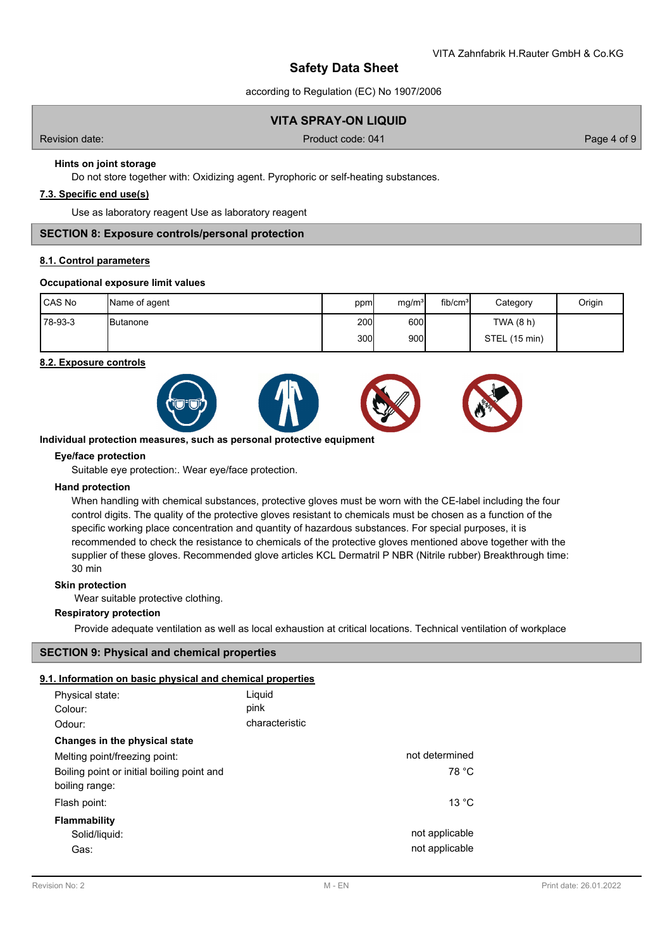according to Regulation (EC) No 1907/2006

## **VITA SPRAY-ON LIQUID**

Revision date: Product code: 041 Page 4 of 9 Page 4 of 9

# **Hints on joint storage**

Do not store together with: Oxidizing agent. Pyrophoric or self-heating substances.

## **7.3. Specific end use(s)**

Use as laboratory reagent Use as laboratory reagent

## **SECTION 8: Exposure controls/personal protection**

#### **8.1. Control parameters**

#### **Occupational exposure limit values**

| l CAS No | Name of agent     | ppm        | mg/m <sup>3</sup> | fib/cm <sup>3</sup> | Category      | Origin |
|----------|-------------------|------------|-------------------|---------------------|---------------|--------|
| 78-93-3  | <b>I</b> Butanone | <b>200</b> | 600               |                     | TWA (8 h)     |        |
|          |                   | 300l       | 900               |                     | STEL (15 min) |        |

#### **8.2. Exposure controls**



#### **Individual protection measures, such as personal protective equipment**

### **Eye/face protection**

Suitable eye protection:. Wear eye/face protection.

#### **Hand protection**

When handling with chemical substances, protective gloves must be worn with the CE-label including the four control digits. The quality of the protective gloves resistant to chemicals must be chosen as a function of the specific working place concentration and quantity of hazardous substances. For special purposes, it is recommended to check the resistance to chemicals of the protective gloves mentioned above together with the supplier of these gloves. Recommended glove articles KCL Dermatril P NBR (Nitrile rubber) Breakthrough time: 30 min

#### **Skin protection**

Wear suitable protective clothing.

#### **Respiratory protection**

Provide adequate ventilation as well as local exhaustion at critical locations. Technical ventilation of workplace

## **SECTION 9: Physical and chemical properties**

## **9.1. Information on basic physical and chemical properties**

| Physical state:<br>Colour:                                   | Liquid<br>pink |                                  |
|--------------------------------------------------------------|----------------|----------------------------------|
| Odour:                                                       | characteristic |                                  |
| Changes in the physical state                                |                |                                  |
| Melting point/freezing point:                                |                | not determined                   |
| Boiling point or initial boiling point and<br>boiling range: |                | 78 °C                            |
| Flash point:                                                 |                | 13 °C                            |
| <b>Flammability</b><br>Solid/liquid:<br>Gas:                 |                | not applicable<br>not applicable |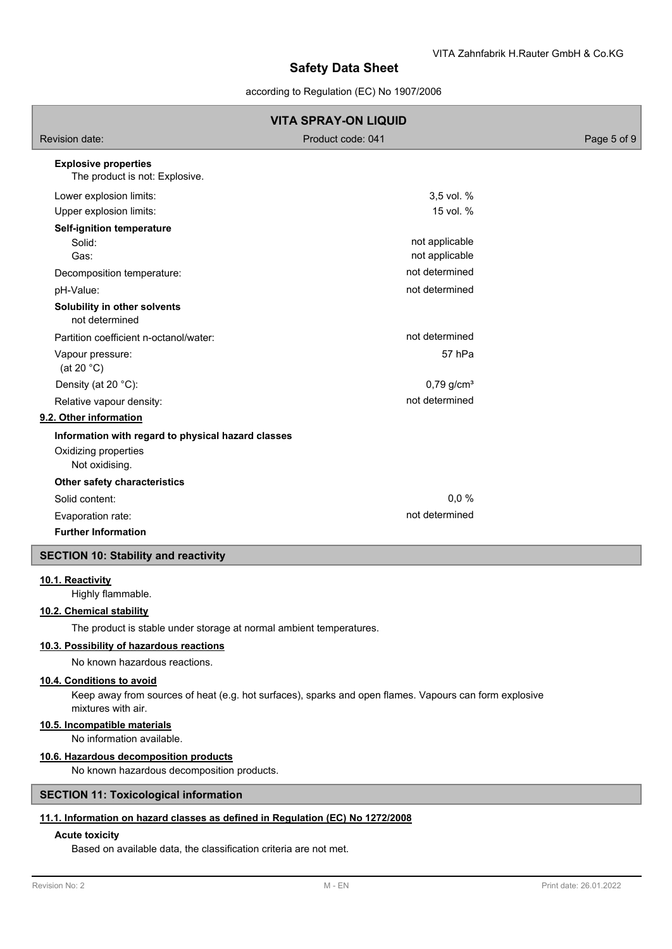according to Regulation (EC) No 1907/2006

|                                                               | <b>VITA SPRAY-ON LIQUID</b>      |             |
|---------------------------------------------------------------|----------------------------------|-------------|
| Revision date:                                                | Product code: 041                | Page 5 of 9 |
| <b>Explosive properties</b><br>The product is not: Explosive. |                                  |             |
| Lower explosion limits:                                       | 3,5 vol. %                       |             |
| Upper explosion limits:                                       | 15 vol. %                        |             |
| <b>Self-ignition temperature</b><br>Solid:<br>Gas:            | not applicable<br>not applicable |             |
| Decomposition temperature:                                    | not determined                   |             |
| pH-Value:                                                     | not determined                   |             |
| Solubility in other solvents<br>not determined                |                                  |             |
| Partition coefficient n-octanol/water:                        | not determined                   |             |
| Vapour pressure:<br>(at 20 $°C$ )                             | 57 hPa                           |             |
| Density (at 20 °C):                                           | $0,79$ g/cm <sup>3</sup>         |             |
| Relative vapour density:                                      | not determined                   |             |
| 9.2. Other information                                        |                                  |             |
| Information with regard to physical hazard classes            |                                  |             |
| Oxidizing properties<br>Not oxidising.                        |                                  |             |
| Other safety characteristics                                  |                                  |             |
| Solid content:                                                | 0,0%                             |             |
| Evaporation rate:                                             | not determined                   |             |
| <b>Further Information</b>                                    |                                  |             |
| <b>SECTION 10: Stability and reactivity</b>                   |                                  |             |
| 10.1. Reactivity                                              |                                  |             |

Highly flammable.

## **10.2. Chemical stability**

The product is stable under storage at normal ambient temperatures.

## **10.3. Possibility of hazardous reactions**

No known hazardous reactions.

## **10.4. Conditions to avoid**

Keep away from sources of heat (e.g. hot surfaces), sparks and open flames. Vapours can form explosive mixtures with air.

## **10.5. Incompatible materials**

No information available.

## **10.6. Hazardous decomposition products**

No known hazardous decomposition products.

## **SECTION 11: Toxicological information**

## **11.1. Information on hazard classes as defined in Regulation (EC) No 1272/2008**

## **Acute toxicity**

Based on available data, the classification criteria are not met.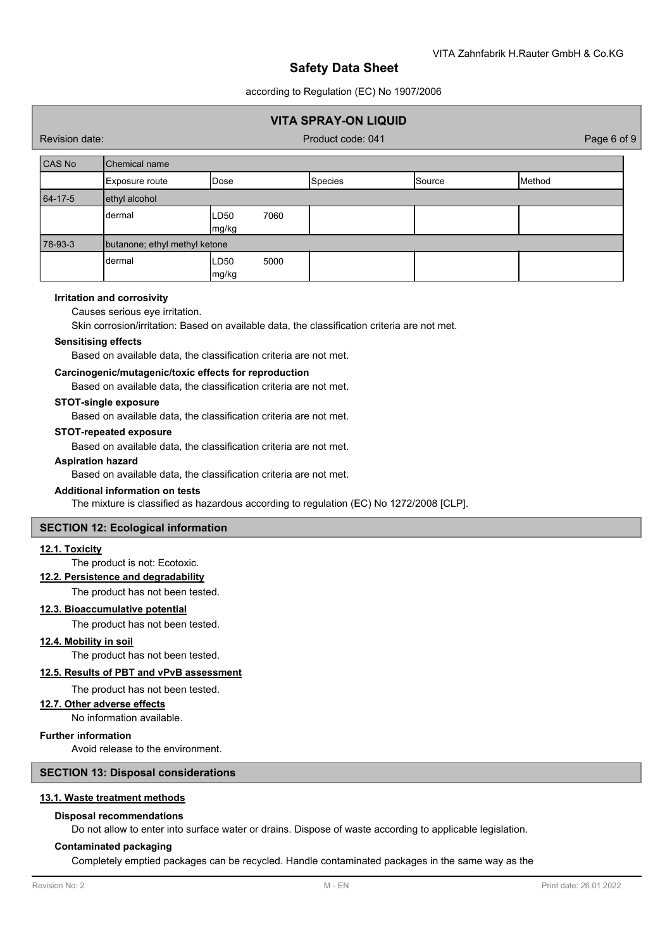according to Regulation (EC) No 1907/2006

# **VITA SPRAY-ON LIQUID**

Revision date: Product code: 041 Page 6 of 9

| CAS No  | Chemical name                 |                       |                |        |        |
|---------|-------------------------------|-----------------------|----------------|--------|--------|
|         | Exposure route                | Dose                  | <b>Species</b> | Source | Method |
| 64-17-5 | ethyl alcohol                 |                       |                |        |        |
|         | dermal                        | 7060<br>LD50<br>mg/kg |                |        |        |
| 78-93-3 | butanone; ethyl methyl ketone |                       |                |        |        |
|         | dermal                        | 5000<br>LD50<br>mg/kg |                |        |        |

#### **Irritation and corrosivity**

#### Causes serious eye irritation.

Skin corrosion/irritation: Based on available data, the classification criteria are not met.

#### **Sensitising effects**

Based on available data, the classification criteria are not met.

#### **Carcinogenic/mutagenic/toxic effects for reproduction**

Based on available data, the classification criteria are not met.

### **STOT-single exposure**

Based on available data, the classification criteria are not met.

### **STOT-repeated exposure**

Based on available data, the classification criteria are not met.

#### **Aspiration hazard**

Based on available data, the classification criteria are not met.

#### **Additional information on tests**

The mixture is classified as hazardous according to regulation (EC) No 1272/2008 [CLP].

#### **SECTION 12: Ecological information**

#### **12.1. Toxicity**

The product is not: Ecotoxic.

## **12.2. Persistence and degradability**

The product has not been tested.

## **12.3. Bioaccumulative potential**

The product has not been tested.

#### **12.4. Mobility in soil**

The product has not been tested.

## **12.5. Results of PBT and vPvB assessment**

The product has not been tested.

## **12.7. Other adverse effects**

No information available.

# **Further information**

Avoid release to the environment.

# **SECTION 13: Disposal considerations**

## **13.1. Waste treatment methods**

## **Disposal recommendations**

Do not allow to enter into surface water or drains. Dispose of waste according to applicable legislation.

## **Contaminated packaging**

Completely emptied packages can be recycled. Handle contaminated packages in the same way as the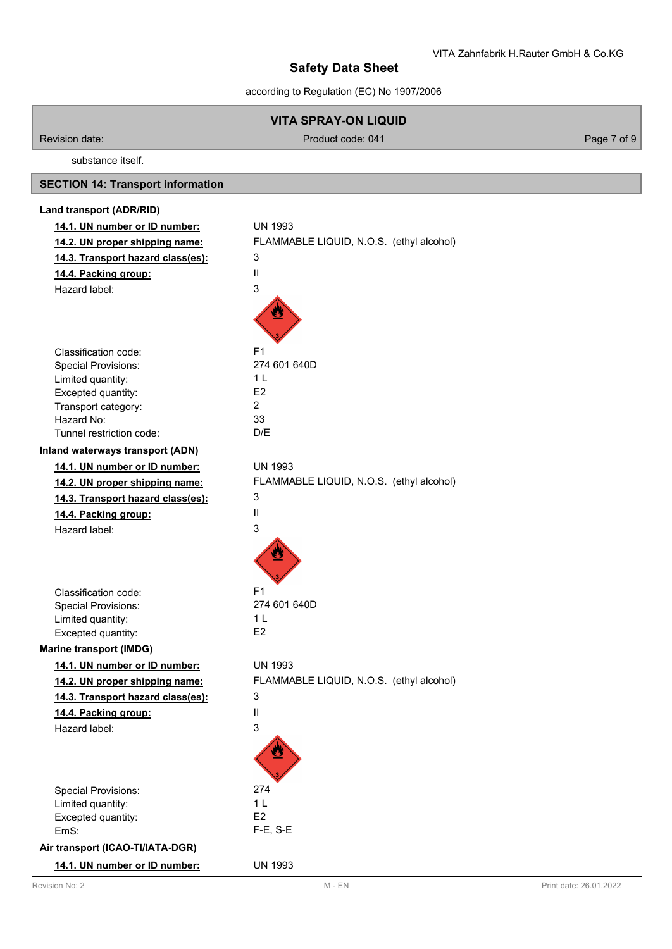according to Regulation (EC) No 1907/2006

|                                           | <b>VITA SPRAY-ON LIQUID</b>              |             |
|-------------------------------------------|------------------------------------------|-------------|
| Revision date:                            | Product code: 041                        | Page 7 of 9 |
| substance itself.                         |                                          |             |
| <b>SECTION 14: Transport information</b>  |                                          |             |
| Land transport (ADR/RID)                  |                                          |             |
| 14.1. UN number or ID number:             | <b>UN 1993</b>                           |             |
| 14.2. UN proper shipping name:            | FLAMMABLE LIQUID, N.O.S. (ethyl alcohol) |             |
| 14.3. Transport hazard class(es):         | 3                                        |             |
| 14.4. Packing group:                      | Ш                                        |             |
| Hazard label:                             | 3                                        |             |
|                                           |                                          |             |
| Classification code:                      | F <sub>1</sub>                           |             |
| <b>Special Provisions:</b>                | 274 601 640D                             |             |
| Limited quantity:                         | 1 <sub>L</sub><br>E <sub>2</sub>         |             |
| Excepted quantity:<br>Transport category: | $\overline{2}$                           |             |
| Hazard No:                                | 33                                       |             |
| Tunnel restriction code:                  | D/E                                      |             |
| Inland waterways transport (ADN)          |                                          |             |
| 14.1. UN number or ID number:             | <b>UN 1993</b>                           |             |
| 14.2. UN proper shipping name:            | FLAMMABLE LIQUID, N.O.S. (ethyl alcohol) |             |
| 14.3. Transport hazard class(es):         | 3                                        |             |
| 14.4. Packing group:                      | Ш                                        |             |
| Hazard label:                             | 3                                        |             |
|                                           |                                          |             |
| Classification code:                      | F <sub>1</sub>                           |             |
| <b>Special Provisions:</b>                | 274 601 640D                             |             |
| Limited quantity:<br>Excepted quantity:   | 1 <sub>L</sub><br>E <sub>2</sub>         |             |
| <b>Marine transport (IMDG)</b>            |                                          |             |
| 14.1. UN number or ID number:             | <b>UN 1993</b>                           |             |
| 14.2. UN proper shipping name:            | FLAMMABLE LIQUID, N.O.S. (ethyl alcohol) |             |
|                                           | 3                                        |             |
| 14.3. Transport hazard class(es):         | Ш                                        |             |
| 14.4. Packing group:<br>Hazard label:     | 3                                        |             |
|                                           |                                          |             |
| <b>Special Provisions:</b>                | 274                                      |             |
| Limited quantity:                         | 1 <sub>L</sub>                           |             |
| Excepted quantity:                        | E <sub>2</sub>                           |             |
| EmS:                                      | $F-E$ , S-E                              |             |
| Air transport (ICAO-TI/IATA-DGR)          |                                          |             |
| 14.1. UN number or ID number:             | <b>UN 1993</b>                           |             |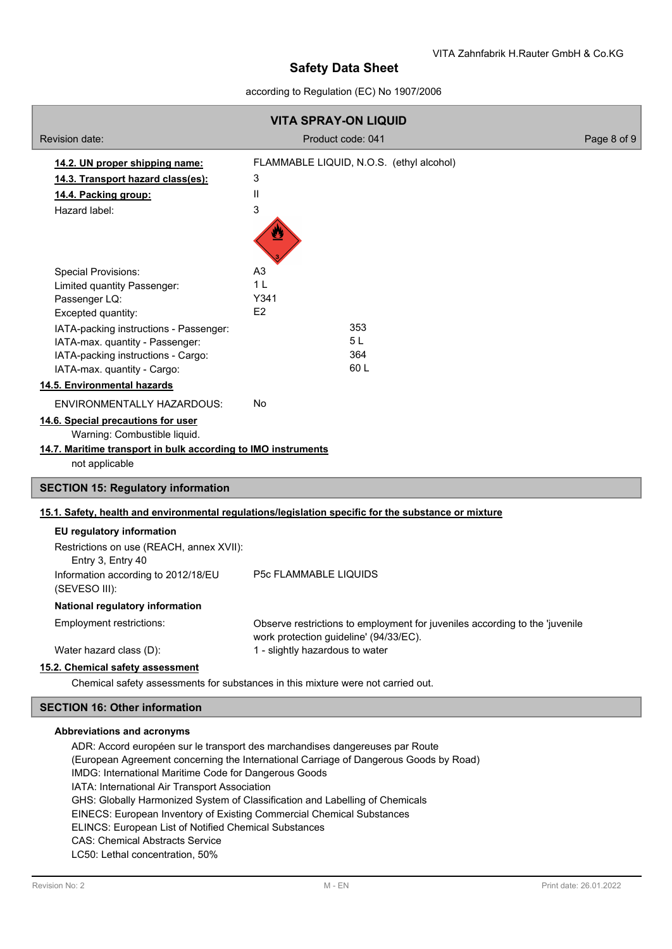## according to Regulation (EC) No 1907/2006

| <b>VITA SPRAY-ON LIQUID</b>                                                                                                                                                                                                                                                                                                                                                                                                                                                     |                                                                                                                       |             |
|---------------------------------------------------------------------------------------------------------------------------------------------------------------------------------------------------------------------------------------------------------------------------------------------------------------------------------------------------------------------------------------------------------------------------------------------------------------------------------|-----------------------------------------------------------------------------------------------------------------------|-------------|
| Revision date:                                                                                                                                                                                                                                                                                                                                                                                                                                                                  | Product code: 041                                                                                                     | Page 8 of 9 |
| 14.2. UN proper shipping name:<br>14.3. Transport hazard class(es):<br>14.4. Packing group:<br>Hazard label:                                                                                                                                                                                                                                                                                                                                                                    | FLAMMABLE LIQUID, N.O.S. (ethyl alcohol)<br>3<br>Ш<br>3                                                               |             |
| <b>Special Provisions:</b><br>Limited quantity Passenger:<br>Passenger LQ:<br>Excepted quantity:<br>IATA-packing instructions - Passenger:<br>IATA-max. quantity - Passenger:<br>IATA-packing instructions - Cargo:<br>IATA-max. quantity - Cargo:<br>14.5. Environmental hazards<br><b>ENVIRONMENTALLY HAZARDOUS:</b><br>14.6. Special precautions for user<br>Warning: Combustible liquid.<br>14.7. Maritime transport in bulk according to IMO instruments<br>not applicable | A <sub>3</sub><br>1 <sub>L</sub><br>Y341<br>E <sub>2</sub><br>353<br>5L<br>364<br>60L<br>No                           |             |
| <b>SECTION 15: Regulatory information</b>                                                                                                                                                                                                                                                                                                                                                                                                                                       |                                                                                                                       |             |
| 15.1. Safety, health and environmental regulations/legislation specific for the substance or mixture                                                                                                                                                                                                                                                                                                                                                                            |                                                                                                                       |             |
| EU regulatory information<br>Restrictions on use (REACH, annex XVII):<br>Entry 3, Entry 40<br>Information according to 2012/18/EU                                                                                                                                                                                                                                                                                                                                               | P5c FLAMMABLE LIQUIDS                                                                                                 |             |
| (SEVESO III):                                                                                                                                                                                                                                                                                                                                                                                                                                                                   |                                                                                                                       |             |
| National regulatory information<br>Employment restrictions:                                                                                                                                                                                                                                                                                                                                                                                                                     | Observe restrictions to employment for juveniles according to the 'juvenile<br>work protection guideline' (94/33/EC). |             |
| Water hazard class (D):                                                                                                                                                                                                                                                                                                                                                                                                                                                         | 1 - slightly hazardous to water                                                                                       |             |
| 15.2. Chemical safety assessment                                                                                                                                                                                                                                                                                                                                                                                                                                                |                                                                                                                       |             |
|                                                                                                                                                                                                                                                                                                                                                                                                                                                                                 | Chemical safety assessments for substances in this mixture were not carried out.                                      |             |
| <b>SECTION 16: Other information</b>                                                                                                                                                                                                                                                                                                                                                                                                                                            |                                                                                                                       |             |
| Abbreviations and acronyms<br>ADR: Accord européen sur le transport des marchandises dangereuses par Route                                                                                                                                                                                                                                                                                                                                                                      |                                                                                                                       |             |

ADR: Accord européen sur le transport des marchandises dangereuses par Route (European Agreement concerning the International Carriage of Dangerous Goods by Road) IMDG: International Maritime Code for Dangerous Goods IATA: International Air Transport Association GHS: Globally Harmonized System of Classification and Labelling of Chemicals EINECS: European Inventory of Existing Commercial Chemical Substances ELINCS: European List of Notified Chemical Substances CAS: Chemical Abstracts Service LC50: Lethal concentration, 50%